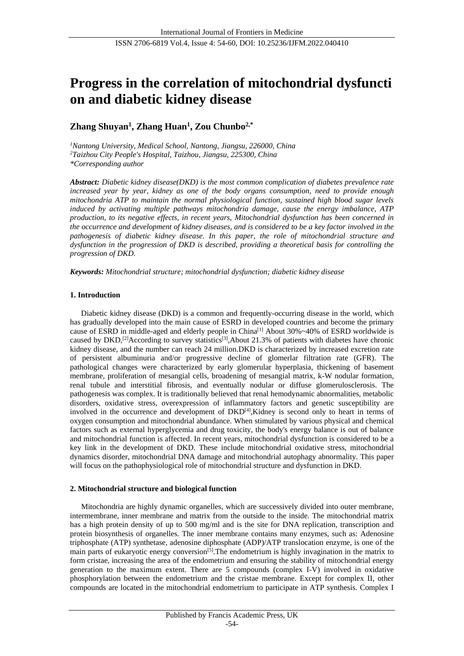# **Progress in the correlation of mitochondrial dysfuncti on and diabetic kidney disease**

# **Zhang Shuyan<sup>1</sup> , Zhang Huan<sup>1</sup> , Zou Chunbo2,\***

*<sup>1</sup>Nantong University, Medical School, Nantong, Jiangsu, 226000, China <sup>2</sup>Taizhou City People's Hospital, Taizhou, Jiangsu, 225300, China \*Corresponding author*

*Abstract: Diabetic kidney disease(DKD) is the most common complication of diabetes prevalence rate increased year by year, kidney as one of the body organs consumption, need to provide enough mitochondria ATP to maintain the normal physiological function, sustained high blood sugar levels induced by activating multiple pathways mitochondria damage, cause the energy imbalance, ATP production, to its negative effects, in recent years, Mitochondrial dysfunction has been concerned in the occurrence and development of kidney diseases, and is considered to be a key factor involved in the pathogenesis of diabetic kidney disease. In this paper, the role of mitochondrial structure and dysfunction in the progression of DKD is described, providing a theoretical basis for controlling the progression of DKD.*

*Keywords: Mitochondrial structure; mitochondrial dysfunction; diabetic kidney disease*

# **1. Introduction**

Diabetic kidney disease (DKD) is a common and frequently-occurring disease in the world, which has gradually developed into the main cause of ESRD in developed countries and become the primary cause of ESRD in middle-aged and elderly people in China[1] About 30%~40% of ESRD worldwide is caused by DKD,<sup>[2]</sup>According to survey statistics<sup>[3]</sup>,About 21.3% of patients with diabetes have chronic kidney disease, and the number can reach 24 million.DKD is characterized by increased excretion rate of persistent albuminuria and/or progressive decline of glomerlar filtration rate (GFR). The pathological changes were characterized by early glomerular hyperplasia, thickening of basement membrane, proliferation of mesangial cells, broadening of mesangial matrix, k-W nodular formation, renal tubule and interstitial fibrosis, and eventually nodular or diffuse glomerulosclerosis. The pathogenesis was complex. It is traditionally believed that renal hemodynamic abnormalities, metabolic disorders, oxidative stress, overexpression of inflammatory factors and genetic susceptibility are involved in the occurrence and development of  $DKD<sup>[4]</sup>, Kidney$  is second only to heart in terms of oxygen consumption and mitochondrial abundance. When stimulated by various physical and chemical factors such as external hyperglycemia and drug toxicity, the body's energy balance is out of balance and mitochondrial function is affected. In recent years, mitochondrial dysfunction is considered to be a key link in the development of DKD. These include mitochondrial oxidative stress, mitochondrial dynamics disorder, mitochondrial DNA damage and mitochondrial autophagy abnormality. This paper will focus on the pathophysiological role of mitochondrial structure and dysfunction in DKD.

#### **2. Mitochondrial structure and biological function**

Mitochondria are highly dynamic organelles, which are successively divided into outer membrane, intermembrane, inner membrane and matrix from the outside to the inside. The mitochondrial matrix has a high protein density of up to 500 mg/ml and is the site for DNA replication, transcription and protein biosynthesis of organelles. The inner membrane contains many enzymes, such as: Adenosine triphosphate (ATP) synthetase, adenosine diphosphate (ADP)/ATP translocation enzyme, is one of the main parts of eukaryotic energy conversion<sup>[5]</sup>. The endometrium is highly invagination in the matrix to form cristae, increasing the area of the endometrium and ensuring the stability of mitochondrial energy generation to the maximum extent. There are 5 compounds (complex I-V) involved in oxidative phosphorylation between the endometrium and the cristae membrane. Except for complex II, other compounds are located in the mitochondrial endometrium to participate in ATP synthesis. Complex I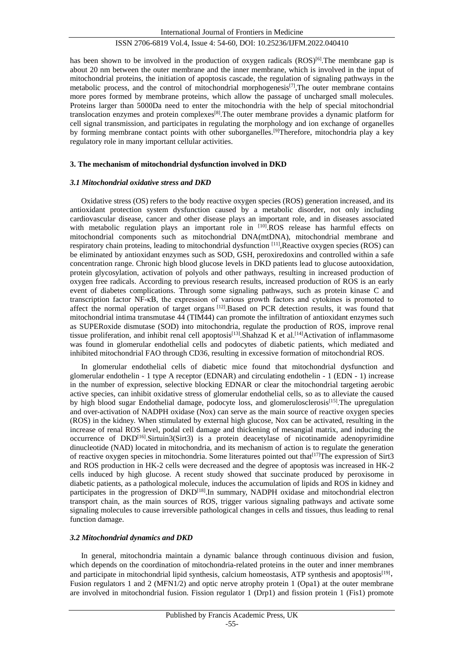has been shown to be involved in the production of oxygen radicals  $(ROS)^{[6]}$ . The membrane gap is about 20 nm between the outer membrane and the inner membrane, which is involved in the input of mitochondrial proteins, the initiation of apoptosis cascade, the regulation of signaling pathways in the metabolic process, and the control of mitochondrial morphogenesis<sup>[7]</sup>, The outer membrane contains more pores formed by membrane proteins, which allow the passage of uncharged small molecules. Proteins larger than 5000Da need to enter the mitochondria with the help of special mitochondrial translocation enzymes and protein complexes[8].The outer membrane provides a dynamic platform for cell signal transmission, and participates in regulating the morphology and ion exchange of organelles by forming membrane contact points with other suborganelles.<sup>[9]</sup>Therefore, mitochondria play a key regulatory role in many important cellular activities.

#### **3. The mechanism of mitochondrial dysfunction involved in DKD**

#### *3.1 Mitochondrial oxidative stress and DKD*

Oxidative stress (OS) refers to the body reactive oxygen species (ROS) generation increased, and its antioxidant protection system dysfunction caused by a metabolic disorder, not only including cardiovascular disease, cancer and other disease plays an important role, and in diseases associated with metabolic regulation plays an important role in [10].ROS release has harmful effects on mitochondrial components such as mitochondrial DNA(mtDNA), mitochondrial membrane and respiratory chain proteins, leading to mitochondrial dysfunction [11], Reactive oxygen species (ROS) can be eliminated by antioxidant enzymes such as SOD, GSH, peroxiredoxins and controlled within a safe concentration range. Chronic high blood glucose levels in DKD patients lead to glucose autooxidation, protein glycosylation, activation of polyols and other pathways, resulting in increased production of oxygen free radicals. According to previous research results, increased production of ROS is an early event of diabetes complications. Through some signaling pathways, such as protein kinase C and transcription factor NF-κB, the expression of various growth factors and cytokines is promoted to affect the normal operation of target organs [12].Based on PCR detection results, it was found that mitochondrial intima transmutase 44 (TIM44) can promote the infiltration of antioxidant enzymes such as SUPERoxide dismutase (SOD) into mitochondria, regulate the production of ROS, improve renal tissue proliferation, and inhibit renal cell apoptosis<sup>[13]</sup>. Shahzad K et al.<sup>[14]</sup>Activation of inflammasome was found in glomerular endothelial cells and podocytes of diabetic patients, which mediated and inhibited mitochondrial FAO through CD36, resulting in excessive formation of mitochondrial ROS.

In glomerular endothelial cells of diabetic mice found that mitochondrial dysfunction and glomerular endothelin - 1 type A receptor (EDNAR) and circulating endothelin - 1 (EDN - 1) increase in the number of expression, selective blocking EDNAR or clear the mitochondrial targeting aerobic active species, can inhibit oxidative stress of glomerular endothelial cells, so as to alleviate the caused by high blood sugar Endothelial damage, podocyte loss, and glomerulosclerosis<sup>[15]</sup>. The upregulation and over-activation of NADPH oxidase (Nox) can serve as the main source of reactive oxygen species (ROS) in the kidney. When stimulated by external high glucose, Nox can be activated, resulting in the increase of renal ROS level, podal cell damage and thickening of mesangial matrix, and inducing the occurrence of DKD<sup>[16]</sup>.Sirtuin3(Sirt3) is a protein deacetylase of nicotinamide adenopyrimidine dinucleotide (NAD) located in mitochondria, and its mechanism of action is to regulate the generation of reactive oxygen species in mitochondria. Some literatures pointed out that[17]The expression of Sirt3 and ROS production in HK-2 cells were decreased and the degree of apoptosis was increased in HK-2 cells induced by high glucose. A recent study showed that succinate produced by peroxisome in diabetic patients, as a pathological molecule, induces the accumulation of lipids and ROS in kidney and participates in the progression of DKD[18].In summary, NADPH oxidase and mitochondrial electron transport chain, as the main sources of ROS, trigger various signaling pathways and activate some signaling molecules to cause irreversible pathological changes in cells and tissues, thus leading to renal function damage.

#### *3.2 Mitochondrial dynamics and DKD*

In general, mitochondria maintain a dynamic balance through continuous division and fusion, which depends on the coordination of mitochondria-related proteins in the outer and inner membranes and participate in mitochondrial lipid synthesis, calcium homeostasis, ATP synthesis and apoptosis<sup>[19]</sup>, Fusion regulators 1 and 2 (MFN1/2) and optic nerve atrophy protein 1 (Opa1) at the outer membrane are involved in mitochondrial fusion. Fission regulator 1 (Drp1) and fission protein 1 (Fis1) promote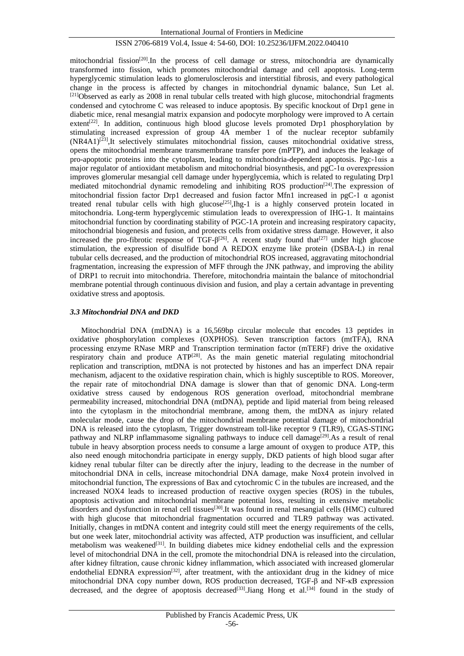mitochondrial fission<sup>[20]</sup>. In the process of cell damage or stress, mitochondria are dynamically transformed into fission, which promotes mitochondrial damage and cell apoptosis. Long-term hyperglycemic stimulation leads to glomerulosclerosis and interstitial fibrosis, and every pathological change in the process is affected by changes in mitochondrial dynamic balance, Sun Let al.  $[21]$ Observed as early as 2008 in renal tubular cells treated with high glucose, mitochondrial fragments condensed and cytochrome C was released to induce apoptosis. By specific knockout of Drp1 gene in diabetic mice, renal mesangial matrix expansion and podocyte morphology were improved to A certain extent<sup>[22]</sup>. In addition, continuous high blood glucose levels promoted Drp1 phosphorylation by stimulating increased expression of group 4A member 1 of the nuclear receptor subfamily  $(NR4A1)^{[23]}$ ,It selectively stimulates mitochondrial fission, causes mitochondrial oxidative stress, opens the mitochondrial membrane transmembrane transfer pore (mPTP), and induces the leakage of pro-apoptotic proteins into the cytoplasm, leading to mitochondria-dependent apoptosis. Pgc-1αis a major regulator of antioxidant metabolism and mitochondrial biosynthesis, and pgC-1α overexpression improves glomerular mesangial cell damage under hyperglycemia, which is related to regulating Drp1 mediated mitochondrial dynamic remodeling and inhibiting ROS production<sup>[24]</sup>. The expression of mitochondrial fission factor Drp1 decreased and fusion factor Mfn1 increased in pgC-1  $\alpha$  agonist treated renal tubular cells with high glucose<sup>[25]</sup>,Ihg-1 is a highly conserved protein located in mitochondria. Long-term hyperglycemic stimulation leads to overexpression of IHG-1. It maintains mitochondrial function by coordinating stability of PGC-1A protein and increasing respiratory capacity, mitochondrial biogenesis and fusion, and protects cells from oxidative stress damage. However, it also increased the pro-fibrotic response of TGF- $\beta$ <sup>[26]</sup>. A recent study found that<sup>[27]</sup> under high glucose stimulation, the expression of disulfide bond A REDOX enzyme like protein (DSBA-L) in renal tubular cells decreased, and the production of mitochondrial ROS increased, aggravating mitochondrial fragmentation, increasing the expression of MFF through the JNK pathway, and improving the ability of DRP1 to recruit into mitochondria. Therefore, mitochondria maintain the balance of mitochondrial membrane potential through continuous division and fusion, and play a certain advantage in preventing oxidative stress and apoptosis.

#### *3.3 Mitochondrial DNA and DKD*

Mitochondrial DNA (mtDNA) is a 16,569bp circular molecule that encodes 13 peptides in oxidative phosphorylation complexes (OXPHOS). Seven transcription factors (mtTFA), RNA processing enzyme RNase MRP and Transcription termination factor (mTERF) drive the oxidative respiratory chain and produce ATP<sup>[28]</sup>. As the main genetic material regulating mitochondrial replication and transcription, mtDNA is not protected by histones and has an imperfect DNA repair mechanism, adjacent to the oxidative respiration chain, which is highly susceptible to ROS. Moreover, the repair rate of mitochondrial DNA damage is slower than that of genomic DNA. Long-term oxidative stress caused by endogenous ROS generation overload, mitochondrial membrane permeability increased, mitochondrial DNA (mtDNA), peptide and lipid material from being released into the cytoplasm in the mitochondrial membrane, among them, the mtDNA as injury related molecular mode, cause the drop of the mitochondrial membrane potential damage of mitochondrial DNA is released into the cytoplasm, Trigger downstream toll-like receptor 9 (TLR9), CGAS-STING pathway and NLRP inflammasome signaling pathways to induce cell damage<sup>[29]</sup>.As a result of renal tubule in heavy absorption process needs to consume a large amount of oxygen to produce ATP, this also need enough mitochondria participate in energy supply, DKD patients of high blood sugar after kidney renal tubular filter can be directly after the injury, leading to the decrease in the number of mitochondrial DNA in cells, increase mitochondrial DNA damage, make Nox4 protein involved in mitochondrial function, The expressions of Bax and cytochromic C in the tubules are increased, and the increased NOX4 leads to increased production of reactive oxygen species (ROS) in the tubules, apoptosis activation and mitochondrial membrane potential loss, resulting in extensive metabolic disorders and dysfunction in renal cell tissues[30].It was found in renal mesangial cells (HMC) cultured with high glucose that mitochondrial fragmentation occurred and TLR9 pathway was activated. Initially, changes in mtDNA content and integrity could still meet the energy requirements of the cells, but one week later, mitochondrial activity was affected, ATP production was insufficient, and cellular metabolism was weakened<sup>[31]</sup>. In building diabetes mice kidney endothelial cells and the expression level of mitochondrial DNA in the cell, promote the mitochondrial DNA is released into the circulation, after kidney filtration, cause chronic kidney inflammation, which associated with increased glomerular endothelial EDNRA expression<sup>[32]</sup>, after treatment, with the antioxidant drug in the kidney of mice mitochondrial DNA copy number down, ROS production decreased, TGF-β and NF-κB expression decreased, and the degree of apoptosis decreased<sup>[33]</sup>.Jiang Hong et al.<sup>[34]</sup> found in the study of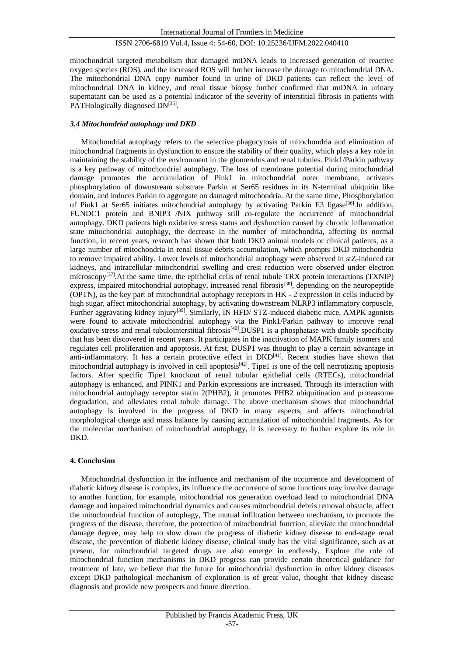mitochondrial targeted metabolism that damaged mtDNA leads to increased generation of reactive oxygen species (ROS), and the increased ROS will further increase the damage to mitochondrial DNA. The mitochondrial DNA copy number found in urine of DKD patients can reflect the level of mitochondrial DNA in kidney, and renal tissue biopsy further confirmed that mtDNA in urinary supernatant can be used as a potential indicator of the severity of interstitial fibrosis in patients with PATHologically diagnosed DN<sup>[35]</sup>.

#### *3.4 Mitochondrial autophagy and DKD*

Mitochondrial autophagy refers to the selective phagocytosis of mitochondria and elimination of mitochondrial fragments in dysfunction to ensure the stability of their quality, which plays a key role in maintaining the stability of the environment in the glomerulus and renal tubules. Pink1/Parkin pathway is a key pathway of mitochondrial autophagy. The loss of membrane potential during mitochondrial damage promotes the accumulation of Pink1 in mitochondrial outer membrane, activates phosphorylation of downstream substrate Parkin at Ser65 residues in its N-terminal ubiquitin like domain, and induces Parkin to aggregate on damaged mitochondria. At the same time, Phosphorylation of Pink1 at Ser65 initiates mitochondrial autophagy by activating Parkin E3 ligase<sup>[36]</sup>.In addition, FUNDC1 protein and BNIP3 /NIX pathway still co-regulate the occurrence of mitochondrial autophagy. DKD patients high oxidative stress status and dysfunction caused by chronic inflammation state mitochondrial autophagy, the decrease in the number of mitochondria, affecting its normal function, in recent years, research has shown that both DKD animal models or clinical patients, as a large number of mitochondria in renal tissue debris accumulation, which prompts DKD mitochondria to remove impaired ability. Lower levels of mitochondrial autophagy were observed in stZ-induced rat kidneys, and intracellular mitochondrial swelling and crest reduction were observed under electron microscopy<sup>[37]</sup>.At the same time, the epithelial cells of renal tubule TRX protein interactions (TXNIP) express, impaired mitochondrial autophagy, increased renal fibrosis<sup>[38]</sup>, depending on the neuropeptide (OPTN), as the key part of mitochondrial autophagy receptors in HK - 2 expression in cells induced by high sugar, affect mitochondrial autophagy, by activating downstream NLRP3 inflammatory corpuscle, Further aggravating kidney injury<sup>[39]</sup>. Similarly, IN HFD/ STZ-induced diabetic mice, AMPK agonists were found to activate mitochondrial autophagy via the Pink1/Parkin pathway to improve renal oxidative stress and renal tubulointerstitial fibrosis<sup>[40]</sup>.DUSP1 is a phosphatase with double specificity that has been discovered in recent years. It participates in the inactivation of MAPK family isomers and regulates cell proliferation and apoptosis. At first, DUSP1 was thought to play a certain advantage in anti-inflammatory. It has a certain protective effect in  $DKD<sup>[41]</sup>$ . Recent studies have shown that mitochondrial autophagy is involved in cell apoptosis<sup>[42]</sup>. Tipe1 is one of the cell necrotizing apoptosis factors. After specific Tipe1 knockout of renal tubular epithelial cells (RTECs), mitochondrial autophagy is enhanced, and PINK1 and Parkin expressions are increased. Through its interaction with mitochondrial autophagy receptor statin 2(PHB2), it promotes PHB2 ubiquitination and proteasome degradation, and alleviates renal tubule damage. The above mechanism shows that mitochondrial autophagy is involved in the progress of DKD in many aspects, and affects mitochondrial morphological change and mass balance by causing accumulation of mitochondrial fragments. As for the molecular mechanism of mitochondrial autophagy, it is necessary to further explore its role in DKD.

#### **4. Conclusion**

Mitochondrial dysfunction in the influence and mechanism of the occurrence and development of diabetic kidney disease is complex, its influence the occurrence of some functions may involve damage to another function, for example, mitochondrial ros generation overload lead to mitochondrial DNA damage and impaired mitochondrial dynamics and causes mitochondrial debris removal obstacle, affect the mitochondrial function of autophagy, The mutual infiltration between mechanism, to promote the progress of the disease, therefore, the protection of mitochondrial function, alleviate the mitochondrial damage degree, may help to slow down the progress of diabetic kidney disease to end-stage renal disease, the prevention of diabetic kidney disease, clinical study has the vital significance, such as at present, for mitochondrial targeted drugs are also emerge in endlessly, Explore the role of mitochondrial function mechanisms in DKD progress can provide certain theoretical guidance for treatment of late, we believe that the future for mitochondrial dysfunction in other kidney diseases except DKD pathological mechanism of exploration is of great value, thought that kidney disease diagnosis and provide new prospects and future direction.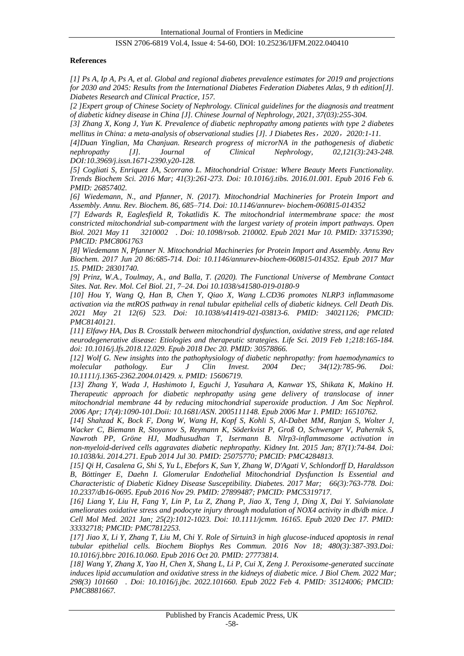#### **References**

*[1] Ps A, Ip A, Ps A, et al. Global and regional diabetes prevalence estimates for 2019 and projections for 2030 and 2045: Results from the International Diabetes Federation Diabetes Atlas, 9 th edition[J]. Diabetes Research and Clinical Practice, 157.*

*[2 ]Expert group of Chinese Society of Nephrology. Clinical guidelines for the diagnosis and treatment of diabetic kidney disease in China [J]. Chinese Journal of Nephrology, 2021, 37(03):255-304.*

*[3] Zhang X, Kong J, Yun K. Prevalence of diabetic nephropathy among patients with type 2 diabetes mellitus in China: a meta-analysis of observational studies [J]. J Diabetes Res*,*2020*,*2020:1-11.*

*[4]Duan Yinglian, Ma Chanjuan. Research progress of microrNA in the pathogenesis of diabetic nephropathy [J]. Journal of Clinical Nephrology, 02,121(3):243-248. DOI:10.3969/j.issn.1671-2390.y20-128.*

*[5] Cogliati S, Enriquez JA, Scorrano L. Mitochondrial Cristae: Where Beauty Meets Functionality. Trends Biochem Sci. 2016 Mar; 41(3):261-273. Doi: 10.1016/j.tibs. 2016.01.001. Epub 2016 Feb 6. PMID: 26857402.*

*[6] Wiedemann, N., and Pfanner, N. (2017). Mitochondrial Machineries for Protein Import and Assembly. Annu. Rev. Biochem. 86, 685–714. Doi: 10.1146/annurev- biochem-060815-014352*

*[7] Edwards R, Eaglesfield R, Tokatlidis K. The mitochondrial intermembrane space: the most constricted mitochondrial sub-compartment with the largest variety of protein import pathways. Open Biol. 2021 May 11 3210002 . Doi: 10.1098/rsob. 210002. Epub 2021 Mar 10. PMID: 33715390; PMCID: PMC8061763*

*[8] Wiedemann N, Pfanner N. Mitochondrial Machineries for Protein Import and Assembly. Annu Rev Biochem. 2017 Jun 20 86:685-714. Doi: 10.1146/annurev-biochem-060815-014352. Epub 2017 Mar 15. PMID: 28301740.*

*[9] Prinz, W.A., Toulmay, A., and Balla, T. (2020). The Functional Universe of Membrane Contact Sites. Nat. Rev. Mol. Cel Biol. 21, 7–24. Doi 10.1038/s41580-019-0180-9*

*[10] Hou Y, Wang Q, Han B, Chen Y, Qiao X, Wang L.CD36 promotes NLRP3 inflammasome activation via the mtROS pathway in renal tubular epithelial cells of diabetic kidneys. Cell Death Dis. 2021 May 21 12(6) 523. Doi: 10.1038/s41419-021-03813-6. PMID: 34021126; PMCID: PMC8140121.*

*[11] Elfawy HA, Das B. Crosstalk between mitochondrial dysfunction, oxidative stress, and age related neurodegenerative disease: Etiologies and therapeutic strategies. Life Sci. 2019 Feb 1;218:165-184. doi: 10.1016/j.lfs.2018.12.029. Epub 2018 Dec 20. PMID: 30578866.*

*[12] Wolf G. New insights into the pathophysiology of diabetic nephropathy: from haemodynamics to molecular pathology. Eur J Clin Invest. 2004 Dec; 34(12):785-96. Doi: 10.1111/j.1365-2362.2004.01429. x. PMID: 15606719.*

*[13] Zhang Y, Wada J, Hashimoto I, Eguchi J, Yasuhara A, Kanwar YS, Shikata K, Makino H. Therapeutic approach for diabetic nephropathy using gene delivery of translocase of inner mitochondrial membrane 44 by reducing mitochondrial superoxide production. J Am Soc Nephrol. 2006 Apr; 17(4):1090-101.Doii: 10.1681/ASN. 2005111148. Epub 2006 Mar 1. PMID: 16510762.*

*[14] Shahzad K, Bock F, Dong W, Wang H, Kopf S, Kohli S, Al-Dabet MM, Ranjan S, Wolter J, Wacker C, Biemann R, Stoyanov S, Reymann K, Söderkvist P, Groß O, Schwenger V, Pahernik S, Nawroth PP, Gröne HJ, Madhusudhan T, Isermann B. Nlrp3-inflammasome activation in non-myeloid-derived cells aggravates diabetic nephropathy. Kidney Int. 2015 Jan; 87(1):74-84. Doi: 10.1038/ki. 2014.271. Epub 2014 Jul 30. PMID: 25075770; PMCID: PMC4284813.*

*[15] Qi H, Casalena G, Shi S, Yu L, Ebefors K, Sun Y, Zhang W, D'Agati V, Schlondorff D, Haraldsson B, Böttinger E, Daehn I. Glomerular Endothelial Mitochondrial Dysfunction Is Essential and Characteristic of Diabetic Kidney Disease Susceptibility. Diabetes. 2017 Mar; 66(3):763-778. Doi: 10.2337/db16-0695. Epub 2016 Nov 29. PMID: 27899487; PMCID: PMC5319717.*

*[16] Liang Y, Liu H, Fang Y, Lin P, Lu Z, Zhang P, Jiao X, Teng J, Ding X, Dai Y. Salvianolate ameliorates oxidative stress and podocyte injury through modulation of NOX4 activity in db/db mice. J Cell Mol Med. 2021 Jan; 25(2):1012-1023. Doi: 10.1111/jcmm. 16165. Epub 2020 Dec 17. PMID: 33332718; PMCID: PMC7812253.*

*[17] Jiao X, Li Y, Zhang T, Liu M, Chi Y. Role of Sirtuin3 in high glucose-induced apoptosis in renal tubular epithelial cells. Biochem Biophys Res Commun. 2016 Nov 18; 480(3):387-393.Doi: 10.1016/j.bbrc 2016.10.060. Epub 2016 Oct 20. PMID: 27773814.*

*[18] Wang Y, Zhang X, Yao H, Chen X, Shang L, Li P, Cui X, Zeng J. Peroxisome-generated succinate induces lipid accumulation and oxidative stress in the kidneys of diabetic mice. J Biol Chem. 2022 Mar; 298(3) 101660 . Doi: 10.1016/j.jbc. 2022.101660. Epub 2022 Feb 4. PMID: 35124006; PMCID: PMC8881667.*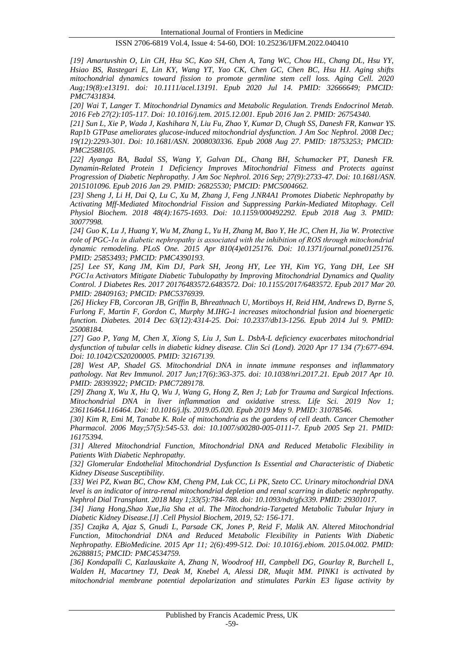*[19] Amartuvshin O, Lin CH, Hsu SC, Kao SH, Chen A, Tang WC, Chou HL, Chang DL, Hsu YY, Hsiao BS, Rastegari E, Lin KY, Wang YT, Yao CK, Chen GC, Chen BC, Hsu HJ. Aging shifts mitochondrial dynamics toward fission to promote germline stem cell loss. Aging Cell. 2020 Aug;19(8):e13191. doi: 10.1111/acel.13191. Epub 2020 Jul 14. PMID: 32666649; PMCID: PMC7431834.*

*[20] Wai T, Langer T. Mitochondrial Dynamics and Metabolic Regulation. Trends Endocrinol Metab. 2016 Feb 27(2):105-117. Doi: 10.1016/j.tem. 2015.12.001. Epub 2016 Jan 2. PMID: 26754340.*

*[21] Sun L, Xie P, Wada J, Kashihara N, Liu Fu, Zhao Y, Kumar D, Chugh SS, Danesh FR, Kanwar YS. Rap1b GTPase ameliorates glucose-induced mitochondrial dysfunction. J Am Soc Nephrol. 2008 Dec; 19(12):2293-301. Doi: 10.1681/ASN. 2008030336. Epub 2008 Aug 27. PMID: 18753253; PMCID: PMC2588105.*

*[22] Ayanga BA, Badal SS, Wang Y, Galvan DL, Chang BH, Schumacker PT, Danesh FR. Dynamin-Related Protein 1 Deficiency Improves Mitochondrial Fitness and Protects against Progression of Diabetic Nephropathy. J Am Soc Nephrol. 2016 Sep; 27(9):2733-47. Doi: 10.1681/ASN. 2015101096. Epub 2016 Jan 29. PMID: 26825530; PMCID: PMC5004662.*

*[23] Sheng J, Li H, Dai Q, Lu C, Xu M, Zhang J, Feng J.NR4A1 Promotes Diabetic Nephropathy by Activating Mff-Mediated Mitochondrial Fission and Suppressing Parkin-Mediated Mitophagy. Cell Physiol Biochem. 2018 48(4):1675-1693. Doi: 10.1159/000492292. Epub 2018 Aug 3. PMID: 30077998.*

*[24] Guo K, Lu J, Huang Y, Wu M, Zhang L, Yu H, Zhang M, Bao Y, He JC, Chen H, Jia W. Protective role of PGC-1α in diabetic nephropathy is associated with the inhibition of ROS through mitochondrial dynamic remodeling. PLoS One. 2015 Apr 810(4)e0125176. Doi: 10.1371/journal.pone0125176. PMID: 25853493; PMCID: PMC4390193.*

*[25] Lee SY, Kang JM, Kim DJ, Park SH, Jeong HY, Lee YH, Kim YG, Yang DH, Lee SH PGC1α Activators Mitigate Diabetic Tubulopathy by Improving Mitochondrial Dynamics and Quality Control. J Diabetes Res. 2017 20176483572.6483572. Doi: 10.1155/2017/6483572. Epub 2017 Mar 20. PMID: 28409163; PMCID: PMC5376939.*

*[26] Hickey FB, Corcoran JB, Griffin B, Bhreathnach U, Mortiboys H, Reid HM, Andrews D, Byrne S, Furlong F, Martin F, Gordon C, Murphy M.IHG-1 increases mitochondrial fusion and bioenergetic function. Diabetes. 2014 Dec 63(12):4314-25. Doi: 10.2337/db13-1256. Epub 2014 Jul 9. PMID: 25008184.*

*[27] Gao P, Yang M, Chen X, Xiong S, Liu J, Sun L. DsbA-L deficiency exacerbates mitochondrial dysfunction of tubular cells in diabetic kidney disease. Clin Sci (Lond). 2020 Apr 17 134 (7):677-694. Doi: 10.1042/CS20200005. PMID: 32167139.*

*[28] West AP, Shadel GS. Mitochondrial DNA in innate immune responses and inflammatory pathology. Nat Rev Immunol. 2017 Jun;17(6):363-375. doi: 10.1038/nri.2017.21. Epub 2017 Apr 10. PMID: 28393922; PMCID: PMC7289178.*

*[29] Zhang X, Wu X, Hu Q, Wu J, Wang G, Hong Z, Ren J; Lab for Trauma and Surgical Infections. Mitochondrial DNA in liver inflammation and oxidative stress. Life Sci. 2019 Nov 1; 236116464.116464. Doi: 10.1016/j.lfs. 2019.05.020. Epub 2019 May 9. PMID: 31078546.*

*[30] Kim R, Emi M, Tanabe K. Role of mitochondria as the gardens of cell death. Cancer Chemother Pharmacol. 2006 May;57(5):545-53. doi: 10.1007/s00280-005-0111-7. Epub 2005 Sep 21. PMID: 16175394.*

*[31] Altered Mitochondrial Function, Mitochondrial DNA and Reduced Metabolic Flexibility in Patients With Diabetic Nephropathy.*

*[32] Glomerular Endothelial Mitochondrial Dysfunction Is Essential and Characteristic of Diabetic Kidney Disease Susceptibility.*

*[33] Wei PZ, Kwan BC, Chow KM, Cheng PM, Luk CC, Li PK, Szeto CC. Urinary mitochondrial DNA level is an indicator of intra-renal mitochondrial depletion and renal scarring in diabetic nephropathy. Nephrol Dial Transplant. 2018 May 1;33(5):784-788. doi: 10.1093/ndt/gfx339. PMID: 29301017.*

*[34] Jiang Hong,Shao Xue,Jia Sha et al. The Mitochondria-Targeted Metabolic Tubular Injury in Diabetic Kidney Disease.[J] .Cell Physiol Biochem, 2019, 52: 156-171.* 

*[35] Czajka A, Ajaz S, Gnudi L, Parsade CK, Jones P, Reid F, Malik AN. Altered Mitochondrial Function, Mitochondrial DNA and Reduced Metabolic Flexibility in Patients With Diabetic Nephropathy. EBioMedicine. 2015 Apr 11; 2(6):499-512. Doi: 10.1016/j.ebiom. 2015.04.002. PMID: 26288815; PMCID: PMC4534759.*

*[36] Kondapalli C, Kazlauskaite A, Zhang N, Woodroof HI, Campbell DG, Gourlay R, Burchell L, Walden H, Macartney TJ, Deak M, Knebel A, Alessi DR, Muqit MM. PINK1 is activated by mitochondrial membrane potential depolarization and stimulates Parkin E3 ligase activity by*